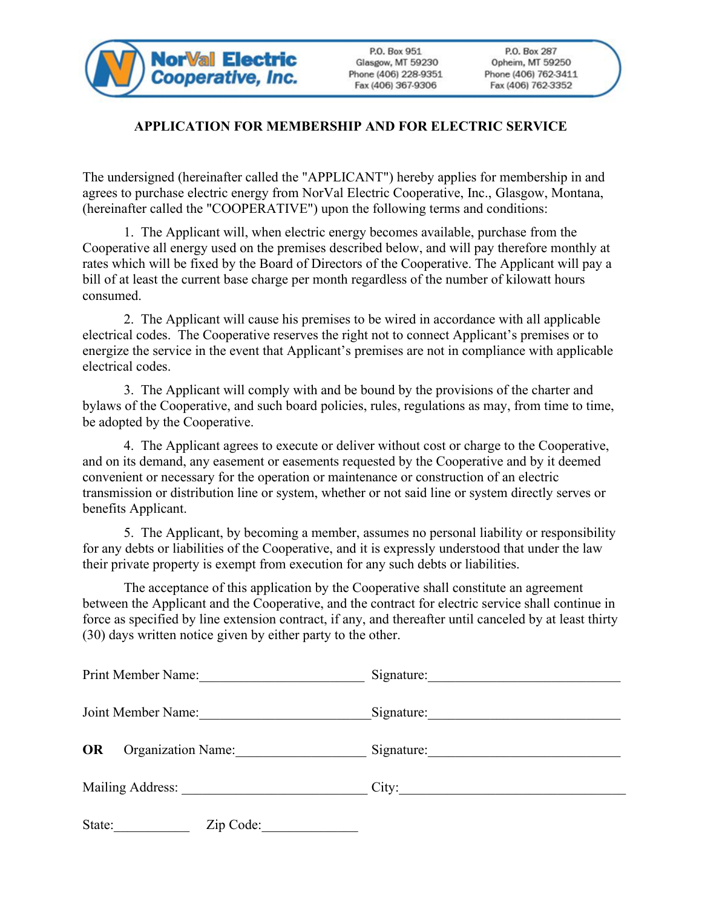

P.O. Box 951 Glasgow, MT 59230 Phone (406) 228-9351 Fax (406) 367-9306

## **APPLICATION FOR MEMBERSHIP AND FOR ELECTRIC SERVICE**

The undersigned (hereinafter called the "APPLICANT") hereby applies for membership in and agrees to purchase electric energy from NorVal Electric Cooperative, Inc., Glasgow, Montana, (hereinafter called the "COOPERATIVE") upon the following terms and conditions:

1. The Applicant will, when electric energy becomes available, purchase from the Cooperative all energy used on the premises described below, and will pay therefore monthly at rates which will be fixed by the Board of Directors of the Cooperative. The Applicant will pay a bill of at least the current base charge per month regardless of the number of kilowatt hours consumed.

2. The Applicant will cause his premises to be wired in accordance with all applicable electrical codes. The Cooperative reserves the right not to connect Applicant's premises or to energize the service in the event that Applicant's premises are not in compliance with applicable electrical codes.

3. The Applicant will comply with and be bound by the provisions of the charter and bylaws of the Cooperative, and such board policies, rules, regulations as may, from time to time, be adopted by the Cooperative.

4. The Applicant agrees to execute or deliver without cost or charge to the Cooperative, and on its demand, any easement or easements requested by the Cooperative and by it deemed convenient or necessary for the operation or maintenance or construction of an electric transmission or distribution line or system, whether or not said line or system directly serves or benefits Applicant.

5. The Applicant, by becoming a member, assumes no personal liability or responsibility for any debts or liabilities of the Cooperative, and it is expressly understood that under the law their private property is exempt from execution for any such debts or liabilities.

The acceptance of this application by the Cooperative shall constitute an agreement between the Applicant and the Cooperative, and the contract for electric service shall continue in force as specified by line extension contract, if any, and thereafter until canceled by at least thirty (30) days written notice given by either party to the other.

| Print Member Name:                     | Signature: |  |
|----------------------------------------|------------|--|
| Joint Member Name:                     | Signature: |  |
| <b>OR</b><br><b>Organization Name:</b> | Signature: |  |
| Mailing Address: Mailing Address:      | City:      |  |
| State:<br>Zip Code:                    |            |  |